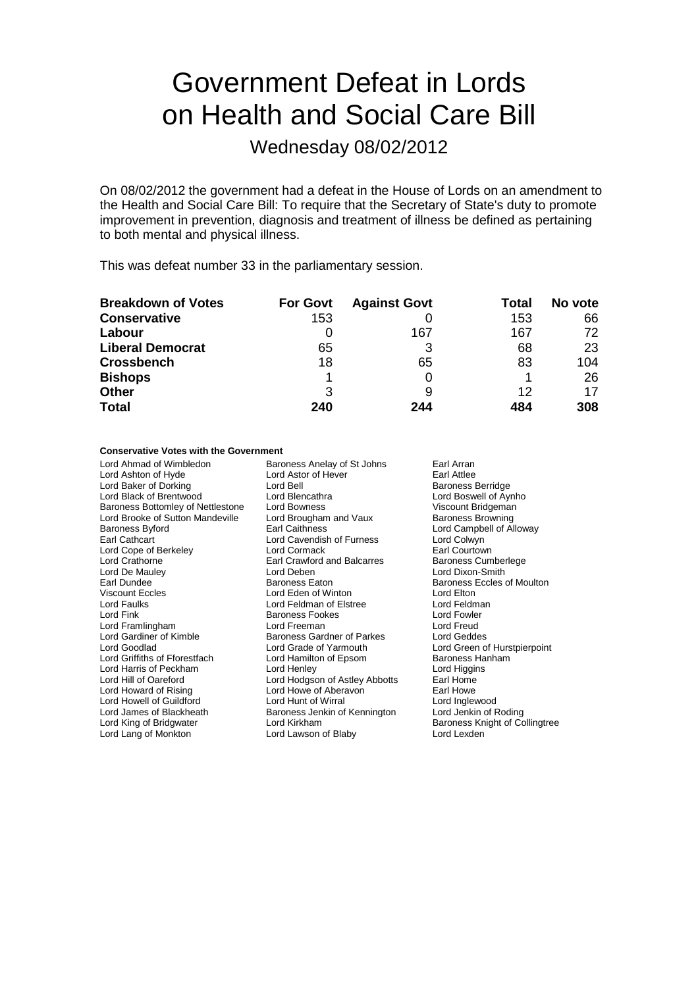# Government Defeat in Lords on Health and Social Care Bill

Wednesday 08/02/2012

On 08/02/2012 the government had a defeat in the House of Lords on an amendment to the Health and Social Care Bill: To require that the Secretary of State's duty to promote improvement in prevention, diagnosis and treatment of illness be defined as pertaining to both mental and physical illness.

This was defeat number 33 in the parliamentary session.

| <b>Breakdown of Votes</b> | <b>For Govt</b> | <b>Against Govt</b> | Total | No vote |
|---------------------------|-----------------|---------------------|-------|---------|
| <b>Conservative</b>       | 153             |                     | 153   | 66      |
| Labour                    |                 | 167                 | 167   | 72      |
| <b>Liberal Democrat</b>   | 65              | 3                   | 68    | 23      |
| <b>Crossbench</b>         | 18              | 65                  | 83    | 104     |
| <b>Bishops</b>            |                 |                     |       | 26      |
| <b>Other</b>              | 3               | 9                   | 12    | 17      |
| <b>Total</b>              | 240             | 244                 | 484   | 308     |

### **Conservative Votes with the Government**

| Lord Ahmad of Wimbledon           | Baroness Anelay of St Johns        | Earl Arran                     |
|-----------------------------------|------------------------------------|--------------------------------|
| Lord Ashton of Hyde               | Lord Astor of Hever                | Earl Attlee                    |
| Lord Baker of Dorking             | Lord Bell                          | <b>Baroness Berridge</b>       |
| Lord Black of Brentwood           | Lord Blencathra                    | Lord Boswell of Aynho          |
| Baroness Bottomley of Nettlestone | Lord Bowness                       | Viscount Bridgeman             |
| Lord Brooke of Sutton Mandeville  | Lord Brougham and Vaux             | <b>Baroness Browning</b>       |
| Baroness Byford                   | <b>Earl Caithness</b>              | Lord Campbell of Alloway       |
| Earl Cathcart                     | Lord Cavendish of Furness          | Lord Colwyn                    |
| Lord Cope of Berkeley             | Lord Cormack                       | Earl Courtown                  |
| Lord Crathorne                    | <b>Earl Crawford and Balcarres</b> | Baroness Cumberlege            |
| Lord De Mauley                    | Lord Deben                         | Lord Dixon-Smith               |
| Earl Dundee                       | <b>Baroness Eaton</b>              | Baroness Eccles of Moulton     |
| Viscount Eccles                   | Lord Eden of Winton                | Lord Elton                     |
| Lord Faulks                       | Lord Feldman of Elstree            | Lord Feldman                   |
| Lord Fink                         | Baroness Fookes                    | Lord Fowler                    |
| Lord Framlingham                  | Lord Freeman                       | Lord Freud                     |
| Lord Gardiner of Kimble           | Baroness Gardner of Parkes         | Lord Geddes                    |
| Lord Goodlad                      | Lord Grade of Yarmouth             | Lord Green of Hurstpierpoint   |
| Lord Griffiths of Fforestfach     | Lord Hamilton of Epsom             | Baroness Hanham                |
| Lord Harris of Peckham            | Lord Henley                        | Lord Higgins                   |
| Lord Hill of Oareford             | Lord Hodgson of Astley Abbotts     | Earl Home                      |
| Lord Howard of Rising             | Lord Howe of Aberavon              | Earl Howe                      |
| Lord Howell of Guildford          | Lord Hunt of Wirral                | Lord Inglewood                 |
| Lord James of Blackheath          | Baroness Jenkin of Kennington      | Lord Jenkin of Roding          |
| Lord King of Bridgwater           | Lord Kirkham                       | Baroness Knight of Collingtree |
| Lord Lang of Monkton              | Lord Lawson of Blaby               | Lord Lexden                    |
|                                   |                                    |                                |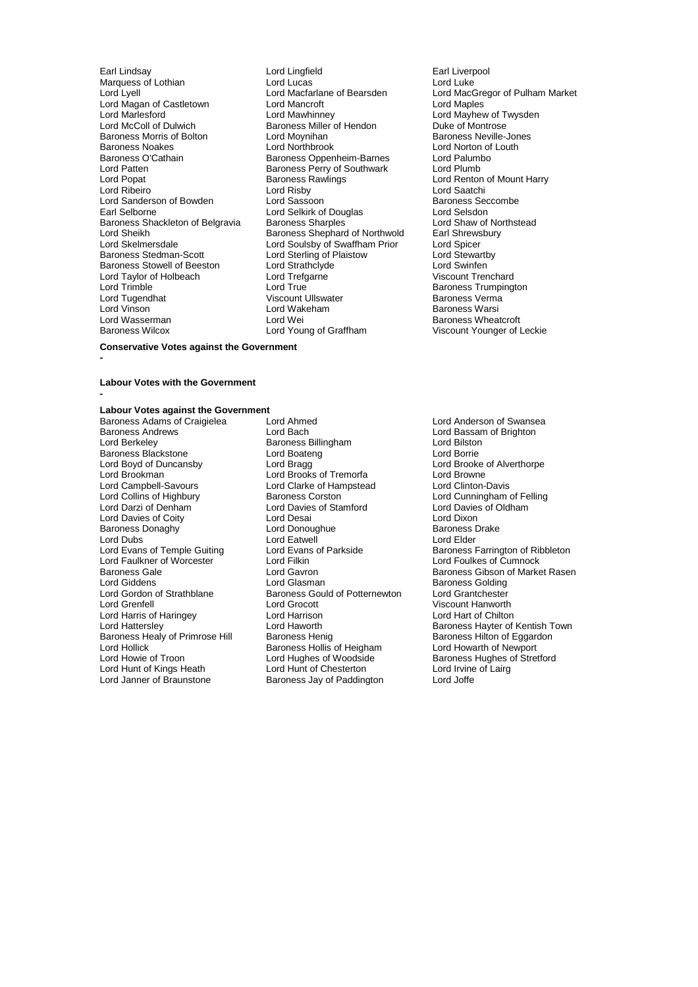Marquess of Lothian **Example 2018** Lord Lucas<br>Lord Lvell Lord Macfarlane of Bearsden Lord Magan of Castletown Lord Mancroft<br>Lord Marlesford Lord Mawhinney Baroness Morris of Bolton Lord Moynihan<br>Baroness Noakes Lord Northbrook Lord Patten **Baroness Perry of Southwark**<br>
Lord Popat **Baroness Rawlings** Lord Taylor of Holbeach Lord Trefg<br>
Lord Trimble Viscount True Lord Tugendhat Viscount Ullswater Baroness Viscount Ullswater Baroness Viscount Ullswater Baroness V<br>
Lord Viscount Baroness Vermann Baroness Vermann Baroness Vermann Baroness Vermann Baroness Vermann Baroness V

Earl Lindsay **Carl Lingfield** Earl Liverpool Lord Lingfield Earl Liverpool Marquess of Lothian Cord Luke Lord Luke Lord Macfarlane of Bearsden Lord MacGregor of Pulham Market<br>
Lord Maneroft Lord Maples Lord Mariesford Corress Lord Mawhinney Corress Lord Mayhew of Twysden<br>Lord McColl of Dulwich Corress Miller of Hendon Corress Duke of Montrose Exaroness Miller of Hendon Duke of Montrose<br>
Lord Moynihan Duke Baroness Neville-Jones Baroness Noakes **Lord Northbrook** Lord Norton of Louth Baroness O'Cathain **Baroness O'Cathain** Baroness Oppenheim-Barnes Lord Palumbo Baroness O'Cathain **Baroness O'Cathain** Baroness Oppenheim-Barnes Lord Palumbor Lord Palumbor Charnes Baroness Perry of Southwark Lord Plumbor Lord Plumbor Charness Perry of Southwark Lord Popat Corporation Corporation Baroness Rawlings Corporation Corporation Baroness Rawlings Corporation Corporation Corporation Corporation Corporation Corporation Corporation Corporation Corporation Corporation Corpora Lord Ribeiro Lord Risby Lord Saatchi Lord Sanderson of Bowden Lord Sassoon and Baroness Seccombe<br>
Lord Selborne **Lord Selset Lord Selset Consumers**<br>
Lord Selset Lord Selset Lord Selset Lord Selset Lord Selset Lord Selset Lord Selset Lord Selset Lord Selset Lo Lord Selkirk of Douglas<br>
Baroness Sharples<br>
Lord Shaw of Northstead Baroness Shackleton of Belgravia Baroness Sharples **Baroness Sharples Lord Shaw of Northstead Corpor**<br>Lord Sheikh Baroness Shephard of Northwold Earl Shrewsbury Lord Sheikh **Baroness Shephard of Northwold** Earl Shrews<br>
Lord Skelmersdale **Baroness Shephard of Northwold** Earl Shrews Lord Skelmersdale Lord Soulsby of Swaffham Prior Lord Spicer Lord Sterling of Plaistow Lord Stewart<br>Lord Strathclyde Lord Stwinfen Baroness Stowell of Beeston Lord Strathclyde Cord Cord Swinfen<br>
Lord Taylor of Holbeach Lord Trefgarne Cord Cord Cord Cord Trenchard Lord True Lord Trumpington<br>
Viscount Ullswater Lord Trumpington<br>
Baroness Verma Lord Vinson Lord Wakeham Baroness Warsi Lord Wasserman Lord Wei Cord Wei Baroness Wheatcroft<br>
Baroness Wilcox Lord Young of Graffham Ciscount Younger of L

Viscount Younger of Leckie

### **Conservative Votes against the Government**

#### **Labour Votes with the Government -**

**-**

### **Labour Votes against the Government**

Baroness Andrews **Lord Bach** Lord Bach Lord Bassam of Brighton<br>
Lord Berkeley **Baroness Billingham** Lord Bilston<br>
Lord Bilston Baroness Blackstone<br>
Lord Boyd of Duncansby<br>
Lord Bragg Lord Boyd of Duncansby **Lord Bragg and Alverthorpe**<br>
Lord Brookman **Lord Brooks of Tremorfa** Lord Browne Lord Brooke of Alverthorpe Lord Brookman **Lord Brooks of Tremorfa** Cord Brooks of Tremorfa<br>
Lord Campbell-Savours **Lord Clarke of Hampstead** Lord Clinton-Davis Lord Campbell-Savours Lord Clarke of Hampstead<br>
Lord Collins of Highbury Baroness Corston Lord Collins of Highbury **Baroness Corston Collins Corporation** Lord Cunningham of Felling<br>
Lord Davies of Corporation Lord Davies of Cunningham Lord Davies of Oldham Lord Davies of Coity Baroness Donaghy Lord Donoughue Baroness Drake Lord Dubs<br>
Lord Evans of Temple Guiting<br>
Lord Evans of Temple Guiting<br>
Lord Evans of Parkside Lord Faulkner of Worcester Lord Filkin Lord Foulkes of Cumnock Lord Giddens **Communist Communist Communist Communist Communist Communist Communist Communist Communist Communist Communist Communist Communist Communist Communist Communist Communist Communist Communist Communist Communis** Lord Gordon of Strathblane Baroness Gould of Potternewton<br>Lord Greenfell Lord Grocott Lord Harris of Haringey **Lord Harrison**<br>
Lord Hattersley **Lord Haworth** Baroness Healy of Primrose Hill Baroness Henig Baroness Heniton of Eggardon<br>
Baroness Hollis of Heigham Lord Howarth of Newport Lord Hollick **Baroness Hollis of Heigham**<br>
Lord Howie of Troon **Access Hollis Contract Access** Lord Hughes of Woodside Lord Hunt of Kings Heath Lord Hunt of Chesterton Lord Irvine<br>
Lord Janner of Braunstone Baroness Jay of Paddington Lord Joffe

Baroness Adams of Craigielea Lord Ahmed Lord Anderson of Swansea Exaroness Billingham Lord Bilston<br>
Lord Boateng Lord Borrie Lord Davies of Stamford Lord Davies of Stamford Lord Davies of Oldham Lord Dixon Lord Grocott **Viscount Hanworth**<br>
Lord Harrison **Viscount Lord Hankovich**<br>
Lord Hart of Chilton Lord Hughes of Woodside<br>
Lord Hunt of Chesterton<br>
Lord Irvine of Lairg Baroness Jay of Paddington

Lord Evans of Temple Guiting Lord Evans of Parkside Baroness Farrington of Ribbleton<br>
Lord Evans Lord Filkin Lord Filkin Lord Evans Lord Foulkes of Cumnock Baroness Gale **Communist Constructs Care Constructs Constructs** Baroness Gibson of Market Rasen<br>
Baroness Golding<br>
Lord Giddens Lord Hattersley<br>
Baroness Healy of Primrose Hill Baroness Henig<br>
Baroness Healy of Primrose Hill Baroness Henig<br>
Baroness Hilton of Eggardon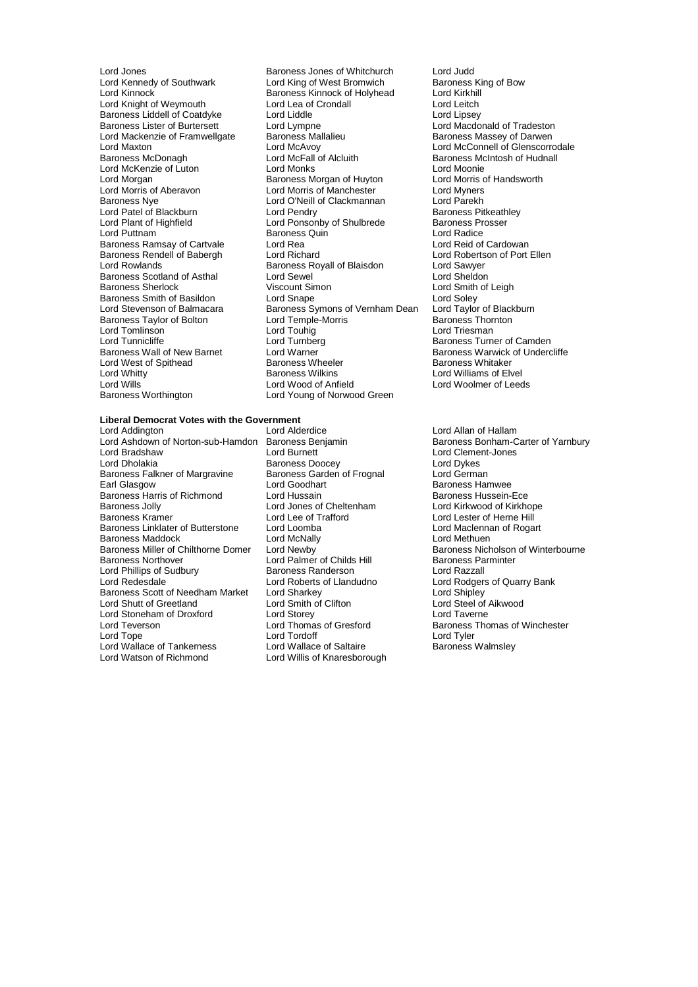Baroness Liddell of Coatdyke Lord Liddle<br>
Baroness Lister of Burtersett Lord Lympne Baroness Scotland of Asthal Lord Sewel<br>
Baroness Sherlock Consult Sheldon Consult Simon Lord Tomlinson<br>
Lord Tunnicliffe 
Lord Tunnberg<br>
Lord Tunnberg Lord West of Spithead Baroness Wheeler Baroness Wheeler Baroness Wikins Lord Wills<br>
Baroness Worthington<br>
Lord Young of Norwoo

Lord Jones **Baroness Jones of Whitchurch** Lord Judd<br>
Lord Kennedy of Southwark Lord King of West Bromwich Baroness King of Bow Lord Kennedy of Southwark Lord King of West Bromwich Baroness King of West Bromwich Baroness King of West Brom<br>Lord King and Baroness Kinnock of Holyhead Lord Kirkhill Lord Kinnock Baroness Kinnock of Holyhead Lord Kirkhill Lord Knight of Weymouth Lord Lea of Crondall Lord Leitch<br>
Baroness Liddell of Coatdyke Lord Liddle Lord Linsey Baroness Lister of Burtersett Lord Lympne Lord Lord Macdonald of Tradeston<br>
Lord Mackenzie of Framwellgate Baroness Mallalieu Baroness Massey of Darwen Lord Mackenzie of Framwellgate Baroness Mallalieu Baroness Massey of Darwen<br>Lord Mackenzie of Framwellgate Baroness Mallalieu Baroness Massey of Darwen Lord Maxton Lord McAvoy Lord McAvoy Lord McConnell of Glenscorrodale<br>
Baroness McDonagh Lord McFall of Alcluith Baroness McIntosh of Hudnall Lord McFall of Alcluith Baroness McIntosh of Hudnall<br>
Lord Monks<br>
Lord Moonie Lord McKenzie of Luton **Lord Monks** Lord Monte Lord Moonie<br>
Lord Morgan **Constant Constant Constant Corporation**<br>
Lord Morris of Handsworth **Example Baroness Morgan of Huyton Lord Morris c**<br>
Lord Morris of Manchester
Lord Myners Lord Morris of Aberavon Lord Morris of Manchester Lord Myners Lord O'Neill of Clackmannan Lord Parekh<br>Lord Pendry Baroness Pitkeathley Lord Patel of Blackburn Lord Pendry Cord Pendry Baroness Pitkeath<br>
Lord Ponsonby of Shulbrede Baroness Prosser Lord Plant of Highfield **Lord Ponsonby of Shulbrede** Baroness Providence Baroness Providence Baroness Quin<br>
Lord Puttnam Baroness Quin Baroness Quin **Baroness Quin Lord Radice**<br> **Lord Rea** Lord Reid of Cardowan Baroness Ramsay of Cartvale Lord Rea Lord Rea Lord Reid of Cardowan<br>Baroness Rendell of Babergh Lord Richard Lord Robertson of Port Ellen Baroness Rendell of Babergh Lord Richard<br>
Lord Rowlands Cord Roberts Baroness Royall of Blaisdon Lord Sawyer Baroness Royall of Blaisdon **Lord Sawyer**<br>
Lord Sewel **Lord Sheldon** Baroness Smith of Basildon Lord Snape Lord Soley<br>
Lord Stevenson of Balmacara Baroness Symons of Vernham Dean Lord Taylor of Blackburn Externess Symons of Vernham Dean Lord Taylor of Black<br>Lord Temple-Morris Baroness Thornton Baroness Taylor of Bolton Lord Temple-Morris **Baroness Thornton Correspondent Correspondent Correspondent Corre**<br>Correspondent Lord Toubig Lord Tunnicliffe Lord Turnberg Communication Camden<br>
Baroness Wall of New Barnet Lord Warner Communication Communication Communication Communication Communication Lord Warner The Raroness Warwick of Undercliffe<br>Baroness Wheeler **Baroness Whitaker** Lord Whitty **Communist Communist Communist Communist Communist Communist Communist Communist Communist Communist Communist Communist Communist Communist Communist Communist Communist Communist Communist Communist Communist** Lord Young of Norwood Green

### **Liberal Democrat Votes with the Government**

Lord Ashdown of Norton-sub-Hamdon Baroness Benjamin Lord Bradshaw Lord Burnett Lord Clement-Jones Baroness Falkner of Margravine Baroness Gard<br>Earl Glasgow **England Lord Goodhart** Baroness Harris of Richmond<br>
Baroness Jolly<br>
Lord Jones of Cheltenham Baroness Jolly **Lord Lord Jones of Cheltenham** Lord Kirkwood of Kirkhope<br>
Baroness Kramer **Lord Lexe of Trafford** Lord Lester of Herne Hill Baroness Linklater of Butterstone Lord Loomba<br>
Lord Maclennan of Rogart<br>
Lord Methuen<br>
Lord Methuen<br>
Lord Methuen Baroness Maddock Lord McNally<br>Baroness Miller of Chilthorne Domer Lord Newby Baroness Miller of Chilthorne Domer Lord Newby<br>Baroness Northover Baroness Nothover Lord Palmer of Childs Hill Baroness Parminter Lord Phillips of Sudbury **Baroness Randerson**<br>
Lord Redesdale **Lord Roberts of Llandudno** Baroness Scott of Needham Market Lord Sharkey Cord Sharkey Lord Shipley<br>
Lord Shutt of Greetland Lord Smith of Clifton Lord Steel of Alkwood Lord Shutt of Greetland Lord Stoneham of Droxford Lord Storey Lord Taverne Lord Teverson **Lord Thomas of Gresford** Baroness Thomas of Winchester<br>
Lord Tope **Baroness Lord Tord Tord Cord Tord Tord Cord Tyler**<br>
Lord Tyler Lord Wallace of Tankerness Lord Watson of Richmond Lord Willis of Knaresborough

Baroness Doocey Lord Dykes<br>
Baroness Garden of Frognal Lord German Lord Goodhart **Earl Goodhart** Baroness Hamwee<br>
Lord Hussain Baroness Hussein-Ece **Faroness Palmer of Childs Hill Baroness Parminter Baroness Parminter Childs Hill Baroness Parminter Childs Parminter Parminter Parminter Parminter Parminter Parminter Parminter Parminter Parminter Parminter Parminter Parm** Lord Tordoff<br>
Lord Wallace of Saltaire<br>
Baroness Walmsley

Lord Smith of Leigh

Lord Allan of Hallam<br>Baroness Bonham-Carter of Yarnbury Lord Lester of Herne Hill Lord Roberts of Llandudno<br>
Lord Sharkey<br>
Lord Shipley